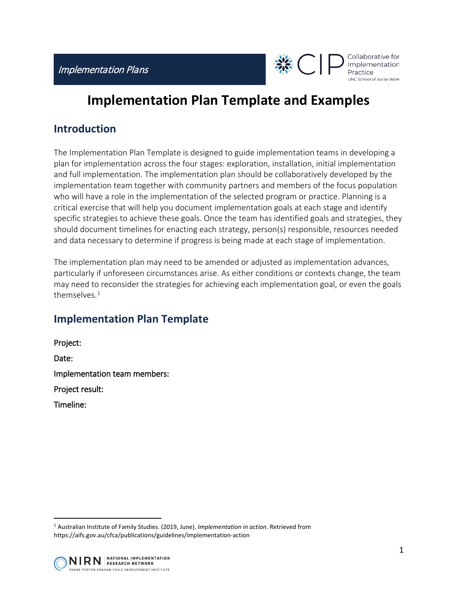

# **Implementation Plan Template and Examples**

# **Introduction**

The Implementation Plan Template is designed to guide implementation teams in developing a plan for implementation across the four stages: exploration, installation, initial implementation and full implementation. The implementation plan should be collaboratively developed by the implementation team together with community partners and members of the focus population who will have a role in the implementation of the selected program or practice. Planning is a critical exercise that will help you document implementation goals at each stage and identify specific strategies to achieve these goals. Once the team has identified goals and strategies, they should document timelines for enacting each strategy, person(s) responsible, resources needed and data necessary to determine if progress is being made at each stage of implementation.

The implementation plan may need to be amended or adjusted as implementation advances, particularly if unforeseen circumstances arise. As either conditions or contexts change, the team may need to reconsider the strategies for achieving each implementation goal, or even the goals themselves.<sup>[1](#page-0-0)</sup>

# **Implementation Plan Template**

Project: Date: Implementation team members: Project result: Timeline:

<span id="page-0-0"></span><sup>1</sup> Australian Institute of Family Studies. (2019, June). *Implementation in action*. Retrieved from https://aifs.gov.au/cfca/publications/guidelines/implementation-action

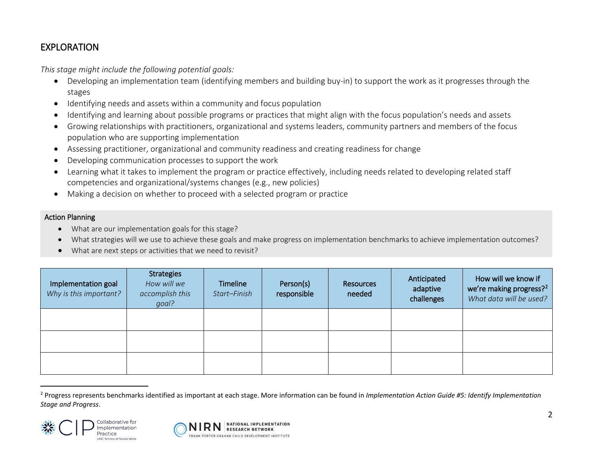# <span id="page-1-0"></span>EXPLORATION

*This stage might include the following potential goals:*

- Developing an implementation team (identifying members and building buy-in) to support the work as it progresses through the stages
- Identifying needs and assets within a community and focus population
- Identifying and learning about possible programs or practices that might align with the focus population's needs and assets
- Growing relationships with practitioners, organizational and systems leaders, community partners and members of the focus population who are supporting implementation
- Assessing practitioner, organizational and community readiness and creating readiness for change
- Developing communication processes to support the work
- Learning what it takes to implement the program or practice effectively, including needs related to developing related staff competencies and organizational/systems changes (e.g., new policies)
- Making a decision on whether to proceed with a selected program or practice

#### Action Planning

- What are our implementation goals for this stage?
- What strategies will we use to achieve these goals and make progress on implementation benchmarks to achieve implementation outcomes?
- What are next steps or activities that we need to revisit?

| Implementation goal<br>Why is this important? | <b>Strategies</b><br>How will we<br>accomplish this<br>goal? | Timeline<br>Start-Finish | Person(s)<br>responsible | <b>Resources</b><br>needed | Anticipated<br>adaptive<br>challenges | How will we know if<br>we're making progress? <sup>2</sup><br>What data will be used? |
|-----------------------------------------------|--------------------------------------------------------------|--------------------------|--------------------------|----------------------------|---------------------------------------|---------------------------------------------------------------------------------------|
|                                               |                                                              |                          |                          |                            |                                       |                                                                                       |
|                                               |                                                              |                          |                          |                            |                                       |                                                                                       |
|                                               |                                                              |                          |                          |                            |                                       |                                                                                       |

<sup>&</sup>lt;sup>2</sup> Progress represents benchmarks identified as important at each stage. More information can be found in *Implementation Action Guide #5: Identify Implementation Stage and Progress*.



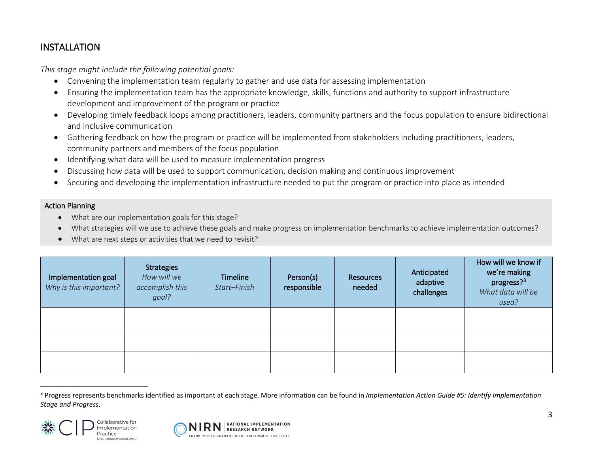## <span id="page-2-0"></span>INSTALLATION

*This stage might include the following potential goals:*

- Convening the implementation team regularly to gather and use data for assessing implementation
- Ensuring the implementation team has the appropriate knowledge, skills, functions and authority to support infrastructure development and improvement of the program or practice
- Developing timely feedback loops among practitioners, leaders, community partners and the focus population to ensure bidirectional and inclusive communication
- Gathering feedback on how the program or practice will be implemented from stakeholders including practitioners, leaders, community partners and members of the focus population
- Identifying what data will be used to measure implementation progress
- Discussing how data will be used to support communication, decision making and continuous improvement
- Securing and developing the implementation infrastructure needed to put the program or practice into place as intended

#### Action Planning

- What are our implementation goals for this stage?
- What strategies will we use to achieve these goals and make progress on implementation benchmarks to achieve implementation outcomes?
- What are next steps or activities that we need to revisit?

| Implementation goal<br>Why is this important? | <b>Strategies</b><br>How will we<br>accomplish this<br>goal? | Timeline<br>Start-Finish | Person(s)<br>responsible | Resources<br>needed | Anticipated<br>adaptive<br>challenges | How will we know if<br>we're making<br>progress? <sup>3</sup><br>What data will be<br>used? |
|-----------------------------------------------|--------------------------------------------------------------|--------------------------|--------------------------|---------------------|---------------------------------------|---------------------------------------------------------------------------------------------|
|                                               |                                                              |                          |                          |                     |                                       |                                                                                             |
|                                               |                                                              |                          |                          |                     |                                       |                                                                                             |
|                                               |                                                              |                          |                          |                     |                                       |                                                                                             |

<sup>&</sup>lt;sup>3</sup> Progress represents benchmarks identified as important at each stage. More information can be found in *Implementation Action Guide #5: Identify Implementation Stage and Progress*.



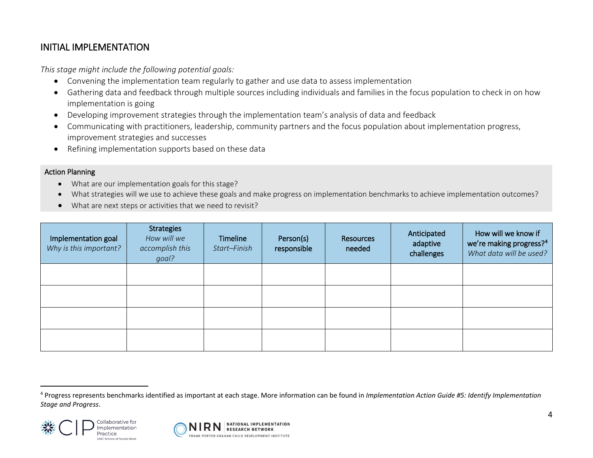## <span id="page-3-0"></span>INITIAL IMPLEMENTATION

*This stage might include the following potential goals:*

- Convening the implementation team regularly to gather and use data to assess implementation
- Gathering data and feedback through multiple sources including individuals and families in the focus population to check in on how implementation is going
- Developing improvement strategies through the implementation team's analysis of data and feedback
- Communicating with practitioners, leadership, community partners and the focus population about implementation progress, improvement strategies and successes
- Refining implementation supports based on these data

#### Action Planning

- What are our implementation goals for this stage?
- What strategies will we use to achieve these goals and make progress on implementation benchmarks to achieve implementation outcomes?
- What are next steps or activities that we need to revisit?

| Implementation goal<br>Why is this important? | Strategies<br>How will we<br>accomplish this<br>goal? | <b>Timeline</b><br>Start-Finish | Person(s)<br>responsible | Resources<br>needed | Anticipated<br>adaptive<br>challenges | How will we know if<br>we're making progress? <sup>4</sup><br>What data will be used? |
|-----------------------------------------------|-------------------------------------------------------|---------------------------------|--------------------------|---------------------|---------------------------------------|---------------------------------------------------------------------------------------|
|                                               |                                                       |                                 |                          |                     |                                       |                                                                                       |
|                                               |                                                       |                                 |                          |                     |                                       |                                                                                       |
|                                               |                                                       |                                 |                          |                     |                                       |                                                                                       |
|                                               |                                                       |                                 |                          |                     |                                       |                                                                                       |

<sup>4</sup> Progress represents benchmarks identified as important at each stage. More information can be found in *Implementation Action Guide #5: Identify Implementation Stage and Progress*.



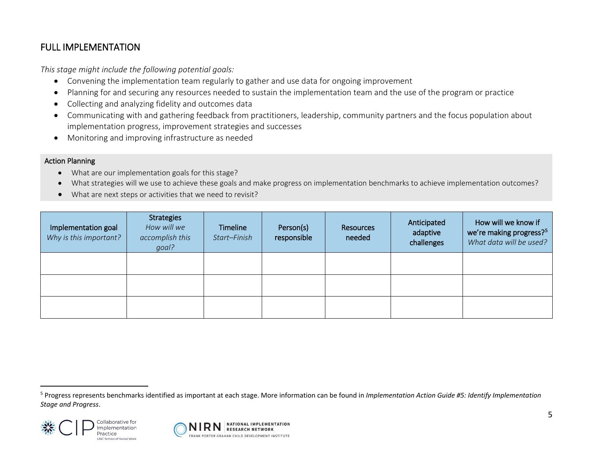# <span id="page-4-0"></span>FULL IMPLEMENTATION

*This stage might include the following potential goals:*

- Convening the implementation team regularly to gather and use data for ongoing improvement
- Planning for and securing any resources needed to sustain the implementation team and the use of the program or practice
- Collecting and analyzing fidelity and outcomes data
- Communicating with and gathering feedback from practitioners, leadership, community partners and the focus population about implementation progress, improvement strategies and successes
- Monitoring and improving infrastructure as needed

#### Action Planning

- What are our implementation goals for this stage?
- What strategies will we use to achieve these goals and make progress on implementation benchmarks to achieve implementation outcomes?
- What are next steps or activities that we need to revisit?

| Implementation goal<br>Why is this important? | <b>Strategies</b><br>How will we<br>accomplish this<br>goal? | <b>Timeline</b><br>Start-Finish | Person(s)<br>responsible | Resources<br>needed | Anticipated<br>adaptive<br>challenges | How will we know if<br>we're making progress? <sup>5</sup><br>What data will be used? |
|-----------------------------------------------|--------------------------------------------------------------|---------------------------------|--------------------------|---------------------|---------------------------------------|---------------------------------------------------------------------------------------|
|                                               |                                                              |                                 |                          |                     |                                       |                                                                                       |
|                                               |                                                              |                                 |                          |                     |                                       |                                                                                       |
|                                               |                                                              |                                 |                          |                     |                                       |                                                                                       |

<sup>5</sup> Progress represents benchmarks identified as important at each stage. More information can be found in *Implementation Action Guide #5: Identify Implementation Stage and Progress*.



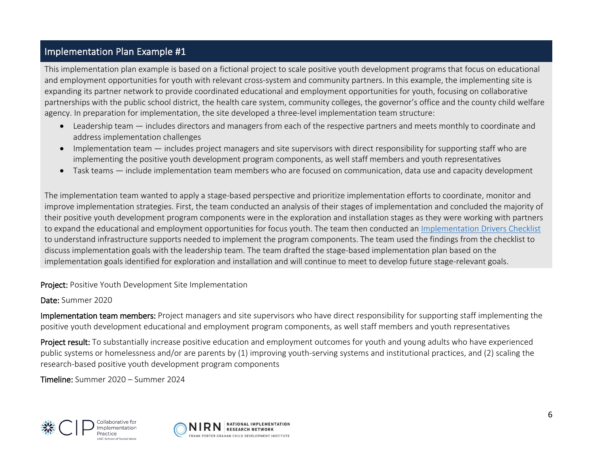## Implementation Plan Example #1

This implementation plan example is based on a fictional project to scale positive youth development programs that focus on educational and employment opportunities for youth with relevant cross-system and community partners. In this example, the implementing site is expanding its partner network to provide coordinated educational and employment opportunities for youth, focusing on collaborative partnerships with the public school district, the health care system, community colleges, the governor's office and the county child welfare agency. In preparation for implementation, the site developed a three-level implementation team structure:

- Leadership team includes directors and managers from each of the respective partners and meets monthly to coordinate and address implementation challenges
- Implementation team includes project managers and site supervisors with direct responsibility for supporting staff who are implementing the positive youth development program components, as well staff members and youth representatives
- Task teams include implementation team members who are focused on communication, data use and capacity development

The implementation team wanted to apply a stage-based perspective and prioritize implementation efforts to coordinate, monitor and improve implementation strategies. First, the team conducted an analysis of their stages of implementation and concluded the majority of their positive youth development program components were in the exploration and installation stages as they were working with partners to expand the educational and employment opportunities for focus youth. The team then conducted an [Implementation Drivers Checklist](https://horizon.aecf.org/docs/DOC-2542) to understand infrastructure supports needed to implement the program components. The team used the findings from the checklist to discuss implementation goals with the leadership team. The team drafted the stage-based implementation plan based on the implementation goals identified for exploration and installation and will continue to meet to develop future stage-relevant goals.

Project: Positive Youth Development Site Implementation

#### Date: Summer 2020

Implementation team members: Project managers and site supervisors who have direct responsibility for supporting staff implementing the positive youth development educational and employment program components, as well staff members and youth representatives

Project result: To substantially increase positive education and employment outcomes for youth and young adults who have experienced public systems or homelessness and/or are parents by (1) improving youth-serving systems and institutional practices, and (2) scaling the research-based positive youth development program components

Timeline: Summer 2020 – Summer 2024



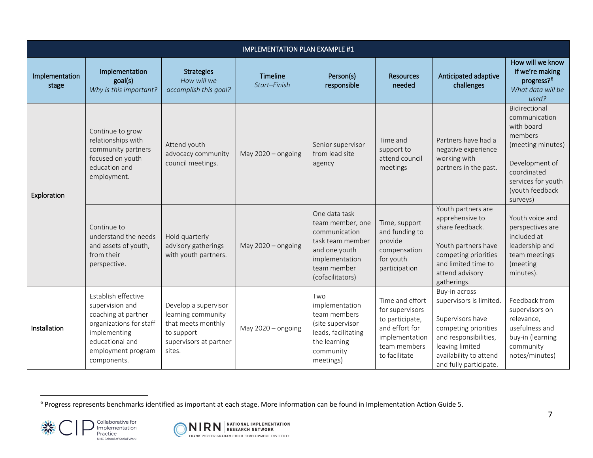<span id="page-6-0"></span>

|                         |                                                                                                                                                                  |                                                                                                                    | <b>IMPLEMENTATION PLAN EXAMPLE #1</b> |                                                                                                                                              |                                                                                                                            |                                                                                                                                                                                      |                                                                                                                                                                    |
|-------------------------|------------------------------------------------------------------------------------------------------------------------------------------------------------------|--------------------------------------------------------------------------------------------------------------------|---------------------------------------|----------------------------------------------------------------------------------------------------------------------------------------------|----------------------------------------------------------------------------------------------------------------------------|--------------------------------------------------------------------------------------------------------------------------------------------------------------------------------------|--------------------------------------------------------------------------------------------------------------------------------------------------------------------|
| Implementation<br>stage | Implementation<br>goal(s)<br>Why is this important?                                                                                                              | <b>Strategies</b><br>How will we<br>accomplish this goal?                                                          | Timeline<br>Start-Finish              | Person(s)<br>responsible                                                                                                                     | <b>Resources</b><br>needed                                                                                                 | Anticipated adaptive<br>challenges                                                                                                                                                   | How will we know<br>if we're making<br>progress? <sup>6</sup><br>What data will be<br>used?                                                                        |
| Exploration             | Continue to grow<br>relationships with<br>community partners<br>focused on youth<br>education and<br>employment.                                                 | Attend youth<br>advocacy community<br>council meetings.                                                            | May $2020 -$ ongoing                  | Senior supervisor<br>from lead site<br>agency                                                                                                | Time and<br>support to<br>attend council<br>meetings                                                                       | Partners have had a<br>negative experience<br>working with<br>partners in the past.                                                                                                  | Bidirectional<br>communication<br>with board<br>members<br>(meeting minutes)<br>Development of<br>coordinated<br>services for youth<br>(youth feedback<br>surveys) |
|                         | Continue to<br>understand the needs<br>and assets of youth,<br>from their<br>perspective.                                                                        | Hold quarterly<br>advisory gatherings<br>with youth partners.                                                      | May 2020 - ongoing                    | One data task<br>team member, one<br>communication<br>task team member<br>and one youth<br>implementation<br>team member<br>(cofacilitators) | Time, support<br>and funding to<br>provide<br>compensation<br>for youth<br>participation                                   | Youth partners are<br>apprehensive to<br>share feedback.<br>Youth partners have<br>competing priorities<br>and limited time to<br>attend advisory<br>gatherings.                     | Youth voice and<br>perspectives are<br>included at<br>leadership and<br>team meetings<br>(meeting<br>minutes).                                                     |
| Installation            | Establish effective<br>supervision and<br>coaching at partner<br>organizations for staff<br>implementing<br>educational and<br>employment program<br>components. | Develop a supervisor<br>learning community<br>that meets monthly<br>to support<br>supervisors at partner<br>sites. | May 2020 - ongoing                    | Two<br>implementation<br>team members<br>(site supervisor<br>leads, facilitating<br>the learning<br>community<br>meetings)                   | Time and effort<br>for supervisors<br>to participate,<br>and effort for<br>implementation<br>team members<br>to facilitate | Buy-in across<br>supervisors is limited.<br>Supervisors have<br>competing priorities<br>and responsibilities,<br>leaving limited<br>availability to attend<br>and fully participate. | Feedback from<br>supervisors on<br>relevance,<br>usefulness and<br>buy-in (learning<br>community<br>notes/minutes)                                                 |

<sup>&</sup>lt;sup>6</sup> Progress represents benchmarks identified as important at each stage. More information can be found in Implementation Action Guide 5.



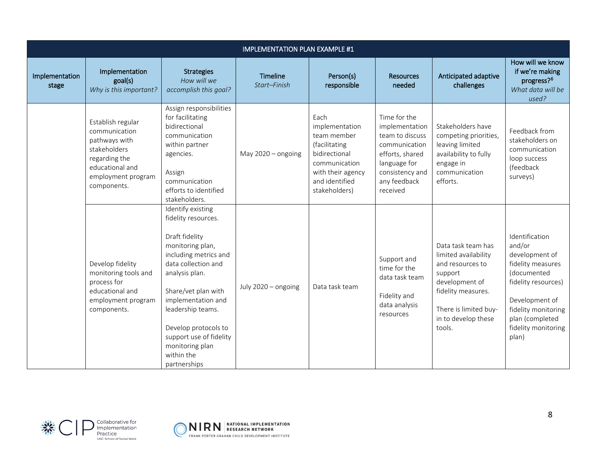|                         |                                                                                                                                              |                                                                                                                                                                                                                                                                                                                        | <b>IMPLEMENTATION PLAN EXAMPLE #1</b> |                                                                                                                                                  |                                                                                                                                                      |                                                                                                                                                                             |                                                                                                                                                                                                   |
|-------------------------|----------------------------------------------------------------------------------------------------------------------------------------------|------------------------------------------------------------------------------------------------------------------------------------------------------------------------------------------------------------------------------------------------------------------------------------------------------------------------|---------------------------------------|--------------------------------------------------------------------------------------------------------------------------------------------------|------------------------------------------------------------------------------------------------------------------------------------------------------|-----------------------------------------------------------------------------------------------------------------------------------------------------------------------------|---------------------------------------------------------------------------------------------------------------------------------------------------------------------------------------------------|
| Implementation<br>stage | Implementation<br>goal(s)<br>Why is this important?                                                                                          | <b>Strategies</b><br>How will we<br>accomplish this goal?                                                                                                                                                                                                                                                              | <b>Timeline</b><br>Start-Finish       | Person(s)<br>responsible                                                                                                                         | <b>Resources</b><br>needed                                                                                                                           | Anticipated adaptive<br>challenges                                                                                                                                          | How will we know<br>if we're making<br>progress? <sup>6</sup><br>What data will be<br>used?                                                                                                       |
|                         | Establish regular<br>communication<br>pathways with<br>stakeholders<br>regarding the<br>educational and<br>employment program<br>components. | Assign responsibilities<br>for facilitating<br>bidirectional<br>communication<br>within partner<br>agencies.<br>Assign<br>communication<br>efforts to identified<br>stakeholders.                                                                                                                                      | May $2020 -$ ongoing                  | Each<br>implementation<br>team member<br>(facilitating<br>bidirectional<br>communication<br>with their agency<br>and identified<br>stakeholders) | Time for the<br>implementation<br>team to discuss<br>communication<br>efforts, shared<br>language for<br>consistency and<br>any feedback<br>received | Stakeholders have<br>competing priorities,<br>leaving limited<br>availability to fully<br>engage in<br>communication<br>efforts.                                            | Feedback from<br>stakeholders on<br>communication<br>loop success<br>(feedback<br>surveys)                                                                                                        |
|                         | Develop fidelity<br>monitoring tools and<br>process for<br>educational and<br>employment program<br>components.                              | Identify existing<br>fidelity resources.<br>Draft fidelity<br>monitoring plan,<br>including metrics and<br>data collection and<br>analysis plan.<br>Share/vet plan with<br>implementation and<br>leadership teams.<br>Develop protocols to<br>support use of fidelity<br>monitoring plan<br>within the<br>partnerships | July 2020 - ongoing                   | Data task team                                                                                                                                   | Support and<br>time for the<br>data task team<br>Fidelity and<br>data analysis<br>resources                                                          | Data task team has<br>limited availability<br>and resources to<br>support<br>development of<br>fidelity measures.<br>There is limited buy-<br>in to develop these<br>tools. | Identification<br>and/or<br>development of<br>fidelity measures<br>(documented<br>fidelity resources)<br>Development of<br>fidelity monitoring<br>plan (completed<br>fidelity monitoring<br>plan) |



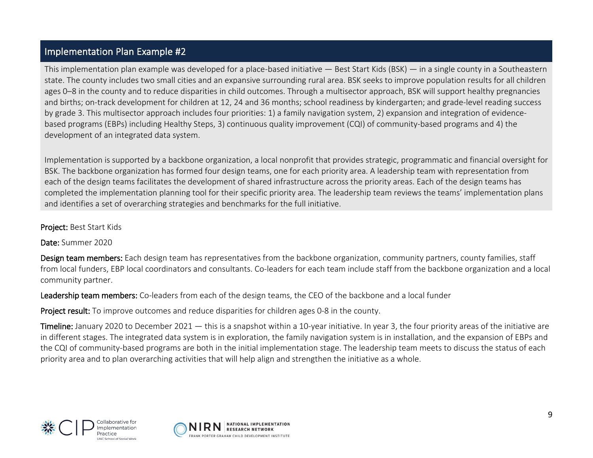### Implementation Plan Example #2

This implementation plan example was developed for a place-based initiative — Best Start Kids (BSK) — in a single county in a Southeastern state. The county includes two small cities and an expansive surrounding rural area. BSK seeks to improve population results for all children ages 0–8 in the county and to reduce disparities in child outcomes. Through a multisector approach, BSK will support healthy pregnancies and births; on-track development for children at 12, 24 and 36 months; school readiness by kindergarten; and grade-level reading success by grade 3. This multisector approach includes four priorities: 1) a family navigation system, 2) expansion and integration of evidencebased programs (EBPs) including Healthy Steps, 3) continuous quality improvement (CQI) of community-based programs and 4) the development of an integrated data system.

Implementation is supported by a backbone organization, a local nonprofit that provides strategic, programmatic and financial oversight for BSK. The backbone organization has formed four design teams, one for each priority area. A leadership team with representation from each of the design teams facilitates the development of shared infrastructure across the priority areas. Each of the design teams has completed the implementation planning tool for their specific priority area. The leadership team reviews the teams' implementation plans and identifies a set of overarching strategies and benchmarks for the full initiative.

#### Project: Best Start Kids

Date: Summer 2020

Design team members: Each design team has representatives from the backbone organization, community partners, county families, staff from local funders, EBP local coordinators and consultants. Co-leaders for each team include staff from the backbone organization and a local community partner.

Leadership team members: Co-leaders from each of the design teams, the CEO of the backbone and a local funder

Project result: To improve outcomes and reduce disparities for children ages 0-8 in the county.

Timeline: January 2020 to December 2021 — this is a snapshot within a 10-year initiative. In year 3, the four priority areas of the initiative are in different stages. The integrated data system is in exploration, the family navigation system is in installation, and the expansion of EBPs and the CQI of community-based programs are both in the initial implementation stage. The leadership team meets to discuss the status of each priority area and to plan overarching activities that will help align and strengthen the initiative as a whole.



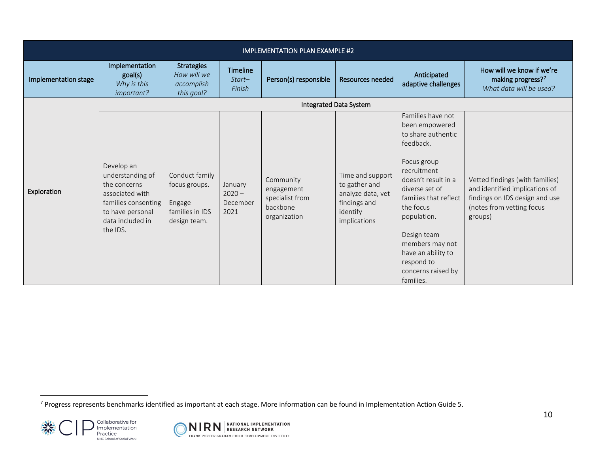<span id="page-9-0"></span>

|                      | <b>IMPLEMENTATION PLAN EXAMPLE #2</b>                                                                                                        |                                                                              |                                         |                                                                        |                                                                                                    |                                                                                                                                                                                                                                                                                                             |                                                                                                                                             |  |  |
|----------------------|----------------------------------------------------------------------------------------------------------------------------------------------|------------------------------------------------------------------------------|-----------------------------------------|------------------------------------------------------------------------|----------------------------------------------------------------------------------------------------|-------------------------------------------------------------------------------------------------------------------------------------------------------------------------------------------------------------------------------------------------------------------------------------------------------------|---------------------------------------------------------------------------------------------------------------------------------------------|--|--|
| Implementation stage | Implementation<br>goal(s)<br>Why is this<br>important?                                                                                       | <b>Strategies</b><br>How will we<br>accomplish<br>this goal?                 | Timeline<br>Start-<br>Finish            | Person(s) responsible                                                  | <b>Resources needed</b>                                                                            | Anticipated<br>adaptive challenges                                                                                                                                                                                                                                                                          | How will we know if we're<br>making progress?7<br>What data will be used?                                                                   |  |  |
|                      |                                                                                                                                              |                                                                              |                                         |                                                                        | Integrated Data System                                                                             |                                                                                                                                                                                                                                                                                                             |                                                                                                                                             |  |  |
| Exploration          | Develop an<br>understanding of<br>the concerns<br>associated with<br>families consenting<br>to have personal<br>data included in<br>the IDS. | Conduct family<br>focus groups.<br>Engage<br>families in IDS<br>design team. | January<br>$2020 -$<br>December<br>2021 | Community<br>engagement<br>specialist from<br>backbone<br>organization | Time and support<br>to gather and<br>analyze data, vet<br>findings and<br>identify<br>implications | Families have not<br>been empowered<br>to share authentic<br>feedback.<br>Focus group<br>recruitment<br>doesn't result in a<br>diverse set of<br>families that reflect<br>the focus<br>population.<br>Design team<br>members may not<br>have an ability to<br>respond to<br>concerns raised by<br>families. | Vetted findings (with families)<br>and identified implications of<br>findings on IDS design and use<br>(notes from vetting focus<br>groups) |  |  |

 $^7$  Progress represents benchmarks identified as important at each stage. More information can be found in Implementation Action Guide 5.



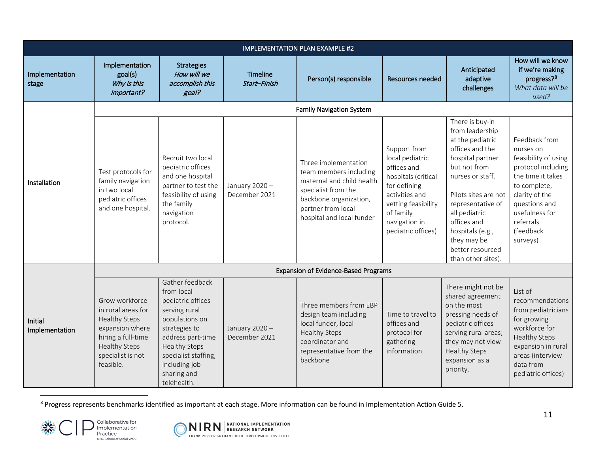<span id="page-10-0"></span>

|                           |                                                                                                                                                          |                                                                                                                                                                                                                            |                                | <b>IMPLEMENTATION PLAN EXAMPLE #2</b>                                                                                                                                           |                                                                                                                                                                                    |                                                                                                                                                                                                                                                                                             |                                                                                                                                                                                                          |
|---------------------------|----------------------------------------------------------------------------------------------------------------------------------------------------------|----------------------------------------------------------------------------------------------------------------------------------------------------------------------------------------------------------------------------|--------------------------------|---------------------------------------------------------------------------------------------------------------------------------------------------------------------------------|------------------------------------------------------------------------------------------------------------------------------------------------------------------------------------|---------------------------------------------------------------------------------------------------------------------------------------------------------------------------------------------------------------------------------------------------------------------------------------------|----------------------------------------------------------------------------------------------------------------------------------------------------------------------------------------------------------|
| Implementation<br>stage   | Implementation<br>goal(s)<br>Why is this<br>important?                                                                                                   | <b>Strategies</b><br>How will we<br>accomplish this<br>goal?                                                                                                                                                               | Timeline<br>Start-Finish       | Person(s) responsible                                                                                                                                                           | Resources needed                                                                                                                                                                   | Anticipated<br>adaptive<br>challenges                                                                                                                                                                                                                                                       | How will we know<br>if we're making<br>progress? <sup>8</sup><br>What data will be<br>used?                                                                                                              |
|                           |                                                                                                                                                          |                                                                                                                                                                                                                            |                                | <b>Family Navigation System</b>                                                                                                                                                 |                                                                                                                                                                                    |                                                                                                                                                                                                                                                                                             |                                                                                                                                                                                                          |
| Installation              | Test protocols for<br>family navigation<br>in two local<br>pediatric offices<br>and one hospital.                                                        | Recruit two local<br>pediatric offices<br>and one hospital<br>partner to test the<br>feasibility of using<br>the family<br>navigation<br>protocol.                                                                         | January 2020-<br>December 2021 | Three implementation<br>team members including<br>maternal and child health<br>specialist from the<br>backbone organization,<br>partner from local<br>hospital and local funder | Support from<br>local pediatric<br>offices and<br>hospitals (critical<br>for defining<br>activities and<br>vetting feasibility<br>of family<br>navigation in<br>pediatric offices) | There is buy-in<br>from leadership<br>at the pediatric<br>offices and the<br>hospital partner<br>but not from<br>nurses or staff.<br>Pilots sites are not<br>representative of<br>all pediatric<br>offices and<br>hospitals (e.g.,<br>they may be<br>better resourced<br>than other sites). | Feedback from<br>nurses on<br>feasibility of using<br>protocol including<br>the time it takes<br>to complete,<br>clarity of the<br>questions and<br>usefulness for<br>referrals<br>(feedback<br>surveys) |
|                           |                                                                                                                                                          |                                                                                                                                                                                                                            |                                | <b>Expansion of Evidence-Based Programs</b>                                                                                                                                     |                                                                                                                                                                                    |                                                                                                                                                                                                                                                                                             |                                                                                                                                                                                                          |
| Initial<br>Implementation | Grow workforce<br>in rural areas for<br><b>Healthy Steps</b><br>expansion where<br>hiring a full-time<br>Healthy Steps<br>specialist is not<br>feasible. | Gather feedback<br>from local<br>pediatric offices<br>serving rural<br>populations on<br>strategies to<br>address part-time<br><b>Healthy Steps</b><br>specialist staffing,<br>including job<br>sharing and<br>telehealth. | January 2020-<br>December 2021 | Three members from EBP<br>design team including<br>local funder, local<br><b>Healthy Steps</b><br>coordinator and<br>representative from the<br>backbone                        | Time to travel to<br>offices and<br>protocol for<br>gathering<br>information                                                                                                       | There might not be<br>shared agreement<br>on the most<br>pressing needs of<br>pediatric offices<br>serving rural areas;<br>they may not view<br><b>Healthy Steps</b><br>expansion as a<br>priority.                                                                                         | List of<br>recommendations<br>from pediatricians<br>for growing<br>workforce for<br><b>Healthy Steps</b><br>expansion in rural<br>areas (interview<br>data from<br>pediatric offices)                    |

<sup>8</sup> Progress represents benchmarks identified as important at each stage. More information can be found in Implementation Action Guide 5.



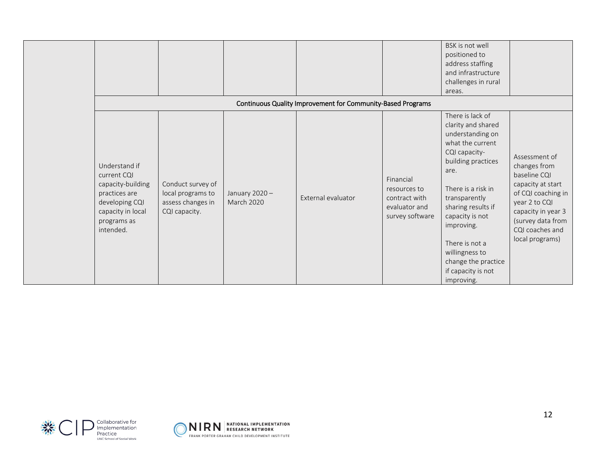|                                                                                                                                       |                                                                              |                                    | Continuous Quality Improvement for Community-Based Programs |                                                                                | BSK is not well<br>positioned to<br>address staffing<br>and infrastructure<br>challenges in rural<br>areas.                                                                                                                                                                                                                |                                                                                                                                                                                            |
|---------------------------------------------------------------------------------------------------------------------------------------|------------------------------------------------------------------------------|------------------------------------|-------------------------------------------------------------|--------------------------------------------------------------------------------|----------------------------------------------------------------------------------------------------------------------------------------------------------------------------------------------------------------------------------------------------------------------------------------------------------------------------|--------------------------------------------------------------------------------------------------------------------------------------------------------------------------------------------|
| Understand if<br>current CQI<br>capacity-building<br>practices are<br>developing CQI<br>capacity in local<br>programs as<br>intended. | Conduct survey of<br>local programs to<br>assess changes in<br>CQI capacity. | January 2020-<br><b>March 2020</b> | External evaluator                                          | Financial<br>resources to<br>contract with<br>evaluator and<br>survey software | There is lack of<br>clarity and shared<br>understanding on<br>what the current<br>CQI capacity-<br>building practices<br>are.<br>There is a risk in<br>transparently<br>sharing results if<br>capacity is not<br>improving.<br>There is not a<br>willingness to<br>change the practice<br>if capacity is not<br>improving. | Assessment of<br>changes from<br>baseline CQI<br>capacity at start<br>of CQI coaching in<br>year 2 to CQI<br>capacity in year 3<br>(survey data from<br>CQI coaches and<br>local programs) |